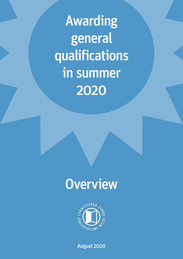Awarding general qualifications in summer 2020

# **Overview**



August 2020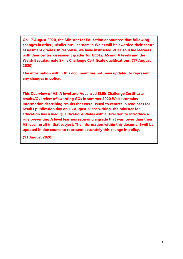**On 17 August 2020, the Minister for Education announced that following changes in other jurisdictions, learners in Wales will be awarded their centre assessment grades. In response, we have instructed WJEC to issue learners with their centre assessment grades for GCSEs, AS and A levels and the Welsh Baccalaureate Skills Challenge Certificate qualifications. (17 August 2020)**

**The information within this document has not been updated to represent any changes in policy.**

**This Overview of AS, A level and Advanced Skills Challenge Certificate results/Overview of awarding GQs in summer 2020 Wales contains information describing results that were issued to centres in readiness for results publication day on 13 August. Since writing, the Minister for Education has issued Qualifications Wales with a Direction to introduce a rule preventing A level learners receiving a grade that was lower than their AS level result in that subject. The information within this document will be updated in due course to represent accurately this change in policy.** 

**(13 August 2020)**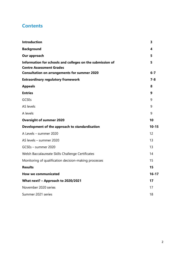# **Contents**

| <b>Introduction</b>                                                                                                                                 | 3            |
|-----------------------------------------------------------------------------------------------------------------------------------------------------|--------------|
| <b>Background</b>                                                                                                                                   | 4            |
| Our approach                                                                                                                                        | 5            |
| Information for schools and colleges on the submission of<br><b>Centre Assessment Grades</b><br><b>Consultation on arrangements for summer 2020</b> | 5<br>$6 - 7$ |
| <b>Extraordinary regulatory framework</b>                                                                                                           | $7 - 8$      |
| <b>Appeals</b>                                                                                                                                      | 8            |
| <b>Entries</b>                                                                                                                                      | 9            |
| <b>GCSEs</b>                                                                                                                                        | 9            |
| <b>AS levels</b>                                                                                                                                    | 9            |
| A levels                                                                                                                                            | 9            |
| <b>Oversight of summer 2020</b>                                                                                                                     | 10           |
| Development of the approach to standardisation                                                                                                      | $10 - 15$    |
| A Levels - summer 2020                                                                                                                              | 12           |
| AS levels - summer 2020                                                                                                                             | 13           |
| GCSEs - summer 2020                                                                                                                                 | 13           |
| Welsh Baccalaureate Skills Challenge Certificates                                                                                                   | 14           |
| Monitoring of qualification decision-making processes                                                                                               | 15           |
| <b>Results</b>                                                                                                                                      | 15           |
| <b>How we communicated</b>                                                                                                                          | $16 - 17$    |
| What next? - Approach to 2020/2021                                                                                                                  | 17           |
| November 2020 series                                                                                                                                | 17           |
| Summer 2021 series                                                                                                                                  | 18           |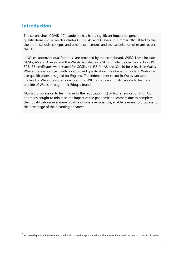# **Introduction**

The coronavirus (COVID-19) pandemic has had a significant impact on general qualifications (GQs), which includes GCSEs, AS and A levels, in summer 2020. It led to the closure of schools, colleges and other exam centres and the cancellation of exams across the UK.

In Wales, approved qualifications<sup>[1](#page-3-0)</sup> are provided by the exam board, WJEC. These include GCSEs, AS and A levels and the Welsh Baccalaureate Skills Challenge Certificate. In 2019, 305,135 certificates were issued for GCSEs, 41,435 for AS and 32,410 for A levels in Wales. Where there is a subject with no approved qualification, maintained schools in Wales can use qualifications designed for England. The independent sector in Wales can take England or Wales designed qualifications. WJEC also deliver qualifications to learners outside of Wales through their Eduqas brand.

GQs aid progression to learning in further education (FE) or higher education (HE). Our approach sought to minimise the impact of the pandemic on learners due to complete their qualifications in summer 2020 and, wherever possible, enable learners to progress to the next stage of their learning or career.

<span id="page-3-0"></span> $1$  Approved qualifications have met qualification-specific approval criteria that ensure they meet the needs of learners in Wales.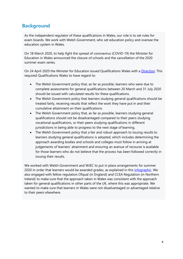# **Background**

As the independent regulator of these qualifications in Wales, our role is to set rules for exam boards. We work with Welsh Government, who set education policy and oversee the education system in Wales.

On 18 March 2020, to help fight the spread of coronavirus (COVID-19) the Minister for Education in Wales announced the closure of schools and the cancellation of the 2020 summer exam series.

On 24 April 2020 the Minister for Education issued Qualifications Wales with a [Direction.](https://www.qualificationswales.org/media/5850/gcse-as-and-a-level-cancellations-letter.pdf) This required Qualifications Wales to have regard to:

- The Welsh Government policy that, as far as possible, learners who were due to complete assessments for general qualifications between 20 March and 31 July 2020 should be issued with calculated results for these qualifications.
- The Welsh Government policy that learners studying general qualifications should be treated fairly, receiving results that reflect the work they have put in and their cumulative attainment on their qualifications.
- The Welsh Government policy that, as far as possible, learners studying general qualifications should not be disadvantaged compared to their peers studying vocational qualifications, or their peers studying qualifications in different jurisdictions in being able to progress to the next stage of learning.
- The Welsh Government policy that a fair and robust approach to issuing results to learners studying general qualifications is adopted, which includes determining the approach awarding bodies and schools and colleges must follow in arriving at judgements of learners' attainment and ensuring an avenue of recourse is available for those learners who do not believe that the process has been followed correctly in issuing their results.

We worked with Welsh Government and WJEC to put in place arrangements for summer 2020 in order that learners would be awarded grades, as explained in this [infographic.](https://qualificationswales.org/media/6298/wg-qw-wjec-graphic-eng.pdf) We also engaged with fellow regulators Ofqual (in England) and CCEA Regulation (in Northern Ireland) to make sure that the approach taken in Wales was consistent with the approach taken for general qualifications in other parts of the UK, where this was appropriate. We wanted to make sure that learners in Wales were not disadvantaged or advantaged relative to their peers elsewhere.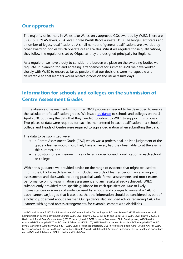# **Our approach**

The majority of learners in Wales take Wales-only approved GQs awarded by WJEC. There are 32 GCSEs, 29 AS levels, 29 A levels, three Welsh Baccalaureate Skills Challenge Certificates and a number of legacy qualifications<sup>[2](#page-5-0)</sup>. A small number of general qualifications are awarded by other awarding bodies which operate outside Wales. Whilst we regulate those qualifications, they follow the regulations set by Ofqual as they are designed principally for England.

As a regulator we have a duty to consider the burden we place on the awarding bodies we regulate. In planning for, and agreeing, arrangements for summer 2020, we have worked closely with WJEC to ensure as far as possible that our decisions were manageable and deliverable so that learners would receive grades on the usual results days.

# **Information for schools and colleges on the submission of Centre Assessment Grades**

In the absence of assessments in summer 2020, processes needed to be developed to enable the calculation of qualification grades. We issued [guidance](https://www.qualificationswales.org/english/publications/information-for-centres-on-the-submission-of-centre-assessment-grades/) to schools and colleges on the 3 April 2020, outlining the data that they needed to submit to WJEC to support this process. Two pieces of data were required for each learner entered in each qualification in a school or college and Heads of Centre were required to sign a declaration when submitting the data.

The data to be submitted were:

- a Centre Assessment Grade (CAG) which was a professional, holistic judgement of the grade a learner would most likely have achieved, had they been able to sit the exams this summer, and
- a position for each learner in a single rank order for each qualification in each school or college.

Within this guidance we provided advice on the range of evidence that might be used to inform the CAG for each learner. This included: records of learner performance in ongoing assessments and classwork, including practical work, formal assessments and mock exams, performance on non-examination assessment and any results already achieved. WJEC subsequently provided more specific guidance for each qualification. Due to likely inconsistencies in sources of evidence used by schools and colleges to arrive at a CAG for each learner, we judged that it was best that the information should be considered as part of a holistic judgement about a learner. Our guidance also included advice regarding CAGs for learners with agreed access arrangements, for example learners with disabilities.

<span id="page-5-0"></span><sup>&</sup>lt;sup>2</sup> WJEC Level 1/Level 2 GCSE in Information and Communication Technology, WJEC Level 1/Level 2 GCSE in Information and Communication Technology (Short Course), WJEC Level 1/Level 2 GCSE in Health and Social Care, WJEC Level 1/Level 2 GCSE in Health and Social Care (Double Award), WJEC Level 1/Level 2 GCSE in Home Economics: Child Development, WJEC Level 3 Advanced GCE in Applied ICT, WJEC Level 3 Advanced GCE in ICT, WJEC Level 3 Advanced Subsidiary GCE in Applied ICT, WJEC Level 3 Advanced Subsidiary GCE in ICT, WJEC Level 3 Advanced Subsidiary GCE in Health and Social Care (Double Award), WJEC Level 3 Advanced GCE in Health and Social Care (Double Award), WJEC Level 3 Advanced Subsidiary GCE in Health and Social Care and WJEC Level 3 Advanced GCE in Health and Social Care.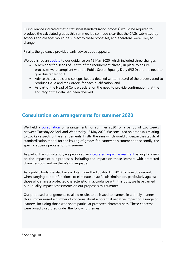Our guidance indicated that a statistical standardisation process<sup>[3](#page-6-0)</sup> would be required to produce the calculated grades this summer. It also made clear that the CAGs submitted by schools and colleges would be subject to these processes, and, therefore, were likely to change.

Finally, the guidance provided early advice about appeals.

We published an *[update](https://www.qualificationswales.org/media/5973/information-for-centres-on-the-submission-of-centre-assessment-grades-version-2-18-may-2020.pdf)* to our quidance on 18 May 2020, which included three changes:

- A reminder for Heads of Centre of the requirement already in place to ensure processes were compliant with the Public Sector Equality Duty (PSED) and the need to give due regard to it
- Advice that schools and colleges keep a detailed written record of the process used to produce CAGs and rank orders for each qualification, and
- As part of the Head of Centre declaration the need to provide confirmation that the accuracy of the data had been checked.

## **Consultation on arrangements for summer 2020**

We held a [consultation](https://www.qualificationswales.org/english/get-involved/consultations-and-surveys/closed-consultations-and-surveys/consultation-arrangements-for-summer-2020-exam-series/) on arrangements for summer 2020 for a period of two weeks between Tuesday 22 April and Wednesday 13 May 2020. We consulted on proposals relating to two key aspects of the arrangements. Firstly, the aims which would underpin the statistical standardisation model for the issuing of grades for learners this summer and secondly, the specific appeals process for this summer.

As part of the consultation, we produced an [integrated impact assessment](https://www.qualificationswales.org/english/get-involved/consultations-and-surveys/closed-consultations-and-surveys/consultation-arrangements-for-summer-2020-exam-series/) asking for views on the impact of our proposals, including the impact on those learners with protected characteristics, and on the Welsh language.

As a public body, we also have a duty under the Equality Act 2010 to have due regard, when carrying out our functions, to eliminate unlawful discrimination, particularly against those who share a protected characteristic. In accordance with this duty, we have carried out Equality Impact Assessments on our proposals this summer.

Our proposed arrangements to allow results to be issued to learners in a timely manner this summer raised a number of concerns about a potential negative impact on a range of learners, including those who share particular protected characteristics. These concerns were broadly captured under the following themes:

<span id="page-6-0"></span> $3$  See page 10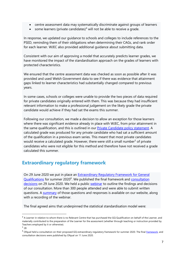- centre assessment data may systematically discriminate against groups of learners
- some learners (private candidates)<sup>[4](#page-7-0)</sup> will not be able to receive a grade.

In response, we updated our guidance to schools and colleges to include references to the PSED, reminding them of their obligations when determining their CAGs, and rank order for each learner. WJEC also provided additional guidance about submitting data.

Consistent with our aim of approving a model that accurately predicts learner grades, we have monitored the impact of the standardisation approach on the grades of learners with protected characteristics.

We ensured that the centre assessment data was checked as soon as possible after it was provided and used Welsh Government data to see if there was evidence that attainment gaps linked to learner characteristics had substantially changed compared to previous years.

In some cases, schools or colleges were unable to provide the two pieces of data required for private candidates originally entered with them. This was because they had insufficient relevant information to make a professional judgement on the likely grade the private candidate would achieve if they had sat the exams this summer.

Following our consultation, we made a decision to allow an exception for those learners where there was significant evidence already in place with WJEC, from prior attainment in the same qualification, and this is outlined in our **Private Candidate policy statement**. A calculated grade was produced for any private candidate who had sat a sufficient amount of the qualification in a previous exam series. This meant that most private candidates would receive a calculated grade. However, there were still a small number<sup>[5](#page-7-1)</sup> of private candidates who were not eligible for this method and therefore have not received a grade calculated this summer.

# **Extraordinary regulatory framework**

On 29 June 2020 we put in place an **Extraordinary Regulatory Framework for General** [Qualifications](https://qualificationswales.org/english/publications/gq-extraordinary-regulatory-framework/) for summer 2020<sup>[6](#page-7-2)</sup>. We published the final framework and consultation [decisions](https://qualificationswales.org/media/6181/arrangements-for-summer-2020-exam-series-decisions-taken-following-consultation.pdf) on 29 June 2020. We held a public [webinar](https://qualificationswales.org/media/6240/summer-review.mp4) to outline the findings and decisions of our consultation. More than 300 people attended and were able to submit written questions. A [summary](https://www.qualificationswales.org/media/6255/webinar-qas.pdf) of those questions and responses is available on our website, along with a recording of the webinar.

The final agreed aims that underpinned the statistical standardisation model were:

<span id="page-7-0"></span><sup>&</sup>lt;sup>4</sup> A Learner in relation to whom there is no Relevant Centre that has purchased the GQ Qualification on behalf of the Learner, and materially contributed to the preparation of the Learner for the assessment (whether through teaching or instruction provided by Teachers employed by it or otherwise).

<span id="page-7-1"></span><sup>5</sup> 28

<span id="page-7-2"></span><sup>&</sup>lt;sup>6</sup> Ofqual held a consultation on their proposed GQ extraordinary regulatory framework for summer 2020. The final *framework*, and consultation decisions were published by Ofqual on 11 June 2020.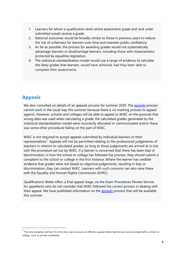- 1. Learners for whom a qualification level centre assessment grade and rank order submitted would receive a grade.
- 2. National outcomes would be broadly similar to those in previous years to reduce the risk of unfairness for learners over time and maintain public confidence.
- 3. As far as possible, the process for awarding grades would not systematically advantage learners or disadvantage learners, including those with characteristics protected by equalities legislation.
- 4. The statistical standardisation model would use a range of evidence to calculate the likely grades that learners. would have achieved, had they been able to complete their assessments.

# **Appeals**

We also consulted on details of an [appeals](https://www.qualificationswales.org/media/6213/appeals-process-summer-2020.pdf) process for summer 2020. The appeals process cannot work in the usual way this summer because there is no marking process to appeal against. However, schools and colleges will be able to appeal to WJEC on the grounds that wrong data was used when calculating a grade, the calculated grades generated by the statistical standardisation model were incorrectly allocated or communicated and/or there was some other procedural failing on the part of WJEC.

WJEC is not required to accept appeals submitted by individual learners or their representatives<sup>[7](#page-8-0)</sup>. Appeals will not be permitted relating to the professional judgements of teachers in relation to calculated grades, so long as those judgements are arrived at in line with the procedure set out by WJEC. If a learner is concerned that there has been bias or discrimination in how the school or college has followed the process, they should submit a complaint to the school or college in the first instance. Where the learner has credible evidence that grades were not based on objective judgements, resulting in bias or discrimination, they can contact WJEC. Learners with such concerns can also raise these with the Equality and Human Rights Commission (EHRC).

Qualifications Wales offers a final appeal stage, via the Exam Procedures Review Service, for appellants who do not consider that WJEC followed the correct process in dealing with their appeal. We have published information on the [appeals](https://www.qualificationswales.org/media/6213/appeals-process-summer-2020.pdf) process that will be available this summer.

<span id="page-8-0"></span> $<sup>7</sup>$  The only exception will be if it is the only way to secure an effective appeal where learners are not associated with a school or</sup> college, such as private candidates.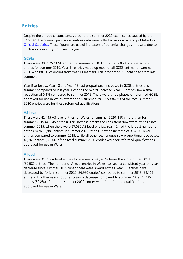## **Entries**

Despite the unique circumstances around the summer 2020 exam series caused by the COVID-19 pandemic, provisional entries data were collected as normal and published as [Official Statistics.](https://www.qualificationswales.org/media/5998/summer-entries-2020-release.pdf) These figures are useful indicators of potential changes in results due to fluctuations in entry from year to year.

## **GCSEs**

There were 307,925 GCSE entries for summer 2020. This is up by 0.7% compared to GCSE entries for summer 2019. Year 11 entries made up most of all GCSE entries for summer 2020 with 88.9% of entries from Year 11 learners. This proportion is unchanged from last summer.

Year 9 or below, Year 10 and Year 12 had proportional increases in GCSE entries this summer compared to last year. Despite the overall increase, Year 11 entries saw a small reduction of 0.1% compared to summer 2019. There were three phases of reformed GCSEs approved for use in Wales awarded this summer. 291,995 (94.8%) of the total summer 2020 entries were for these reformed qualifications.

## **AS level**

There were 42,445 AS level entries for Wales for summer 2020, 1.9% more than for summer 2019 (41,645 entries). This increase breaks the consistent downward trends since summer 2015, when there were 57,030 AS level entries. Year 12 had the largest number of entries, with 32,985 entries in summer 2020. Year 12 saw an increase of 3.5% AS level entries compared to summer 2019, while all other year groups saw proportional decreases. 40,760 entries (96.0%) of the total summer 2020 entries were for reformed qualifications approved for use in Wales.

## **A level**

There were 31,095 A level entries for summer 2020, 4.5% fewer than in summer 2019 (32,580 entries). The number of A level entries in Wales has seen a consistent year-on-year decrease since summer 2015, when there were 38,480 entries. Year 13 entries have decreased by 4.4% in summer 2020 (26,930 entries) compared to summer 2019 (28,165 entries). All other year groups also saw a decrease compared to summer 2019. 27,735 entries (89.2%) of the total summer 2020 entries were for reformed qualifications approved for use in Wales.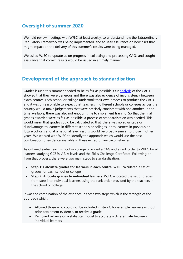# **Oversight of summer 2020**

We held review meetings with WJEC, at least weekly, to understand how the Extraordinary Regulatory Framework was being implemented, and to seek assurance on how risks that might impact on the delivery of this summer's results were being managed.

We asked WJEC to update us on progress in collecting and processing CAGs and sought assurance that correct results would be issued in a timely manner.

# **Development of the approach to standardisation**

Grades issued this summer needed to be as fair as possible. Our [analysis](https://www.qualificationswales.org/english/results-2020/how-are-grades-calculated/) of the CAGs showed that they were generous and there was also evidence of inconsistency between exam centres. Each school or college undertook their own process to produce the CAGs and it was unreasonable to expect that teachers in different schools or colleges across the country would make judgements that were precisely consistent with one another. In the time available, there was also not enough time to implement training. So that the final grades awarded were as fair as possible, a process of standardisation was needed. This would mean that grades could be calculated so that, there was no advantage or disadvantage to learners in different schools or colleges, or to learners in previous or future cohorts and at a national level, results would be broadly similar to those in other years. We worked with WJEC to identify the approach which would use the best combination of evidence available in these extraordinary circumstances

As outlined earlier, each school or college provided a CAG and a rank order to WJEC for all learners studying GCSEs, AS, A levels and the Skills Challenge Certificate. Following on from that process, there were two main steps to standardisation:

- **Step 1: Calculate grades for learners in each centre.** WJEC calculated a set of grades for each school or college
- **Step 2: Allocate grades to individual learners**. WJEC allocated the set of grades from step 1 to individual learners using the rank order provided by the teachers in the school or college

It was the combination of the evidence in these two steps which is the strength of the approach which:

- Allowed those who could not be included in step 1, for example, learners without prior attainment evidence, to receive a grade
- Removed reliance on a statistical model to accurately differentiate between individual learners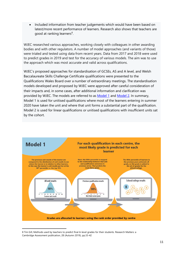• Included information from teacher judgements which would have been based on latest/more recent performance of learners. Research also shows that teachers are good at ranking learners<sup>[8](#page-11-0)</sup>.

WJEC researched various approaches, working closely with colleagues in other awarding bodies and with other regulators. A number of model approaches (and variants of those) were trialed and tested using data from recent years. Data from 2017 and 2018 were used to predict grades in 2019 and test for the accuracy of various models. The aim was to use the approach which was most accurate and valid across qualifications.

WJEC's proposed approaches for standardisation of GCSEs, AS and A level, and Welsh Baccalaureate Skills Challenge Certificate qualifications were presented to the Qualifications Wales Board over a number of extraordinary meetings. The standardisation models developed and proposed by WJEC were approved after careful consideration of their impacts and, in some cases, after additional information and clarification was provided by WJEC. The models are referred to as [Model 1](https://youtu.be/x8WzumKD9Co) and [Model 2.](https://youtu.be/hcUbeFX8_Mg) In summary, Model 1 is used for unitised qualifications where most of the learners entering in summer 2020 have taken the unit and where that unit forms a substantial part of the qualification. Model 2 is used for linear qualifications or unitised qualifications with insufficient units sat by the cohort.



<span id="page-11-0"></span><sup>8</sup> Tim Gill, Methods used by teachers to predict final A-level grades for their students. Research Matters: a Cambridge Assessment publication, 28 (Autumn 2019), pp.33-42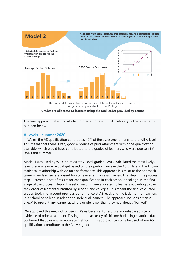

The historic data is adjusted to take account of the ability of the current cohort and get a set of grades for the school/college.

Grades are allocated to learners using the rank order provided by centre

The final approach taken to calculating grades for each qualification type this summer is outlined below.

#### **A Levels – summer 2020**

In Wales, the AS qualification contributes 40% of the assessment marks to the full A level. This means that there is very good evidence of prior attainment within the qualification available, which would have contributed to the grades of learners who were due to sit A levels this summer.

Model 1 was used by WJEC to calculate A level grades. WJEC calculated the most likely A level grade a learner would get based on their performance in the AS units and the known statistical relationship with A2 unit performance. This approach is similar to the approach taken when learners are absent for some exams in an exam series. This step in the process, step 1, created a set of results for each qualification in each school or college. In the final stage of the process, step 2, the set of results were allocated to learners according to the rank order of learners submitted by schools and colleges. This meant the final calculated grades took into account previous performance at AS level, and the judgment of teachers in a school or college in relation to individual learners. The approach includes a 'sensecheck' to prevent any learner getting a grade lower than they had already 'banked'.

We approved this method for use in Wales because AS results are a reliable source of evidence of prior attainment. Testing on the accuracy of this method using historical data confirmed that this was an accurate method. This approach can only be used where AS qualifications contribute to the A level grade.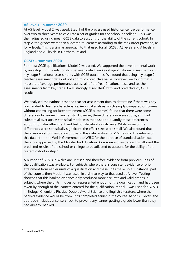#### **AS levels – summer 2020**

At AS level, Model 2, was used. Step 1 of the process used historical centre performance over two to three years to calculate a set of grades for the school or college. This was then adjusted using mean GCSE data to account for the ability of the current cohort. In step 2, the grades were then allocated to learners according to the rank order provided, as for A levels. This is a similar approach to that used for all GCSEs, AS levels and A levels in England and AS levels in Northern Ireland.

#### **GCSEs – summer 2020**

For most GCSE qualifications, Model 2 was used. We supported the developmental work by investigating the relationship between data from key stage 2 national assessments and key stage 3 national assessments with GCSE outcomes. We found that using key stage 2 teacher assessment data did not add much predictive value. However, we found that a measure of average performance across all of the Year 9 national tests and teacher assessments from key stage 3 was strongly associated<sup>[9](#page-13-0)</sup> with, and predictive of, GCSE results.

We analysed the national test and teacher assessment data to determine if there was any bias related to learner characteristics. An initial analysis which simply compared outcomes without controlling for later attainment (GCSE outcomes) found that there were some differences by learner characteristic. However, these differences were subtle, and had substantial overlaps. A statistical model was then used to quantify these differences, account for later attainment and test for statistical significance. While some of the differences were statistically significant, the effect sizes were small. We also found that there was no strong evidence of bias in this data relative to GCSE results. The release of this data, from the Welsh Government to WJEC for the purpose of standardisation was therefore approved by the Minister for Education. As a source of evidence, this allowed the predicted results of the school or college to be adjusted to account for the ability of the current cohort in step 1.

A number of GCSEs in Wales are unitised and therefore evidence from previous units of the qualification was available. For subjects where there is consistent evidence of prior attainment from earlier units of a qualification and these units make up a substantial part of the course, then Model 1 was used, in a similar way to that used at A level. Testing showed that this banked evidence only produced more accurate and valid grades in subjects where the units in question represented enough of the qualification and had been taken by enough of the learners entered for the qualification. Model 1 was used for GCSEs in Biology, Chemistry Physics, Double Award Science and English Literature, where the banked evidence would be from units completed earlier in the course. As for AS levels, the approach includes a 'sense-check' to prevent any learner getting a grade lower than they had already 'banked'.

<span id="page-13-0"></span><sup>9</sup> correlation of 0.89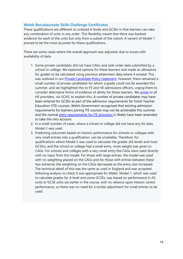### **Welsh Baccalaureate Skills Challenge Certificates**

These qualifications are different to unitised A levels and GCSEs in that learners can take any combination of units in any order. This flexibility meant that there was banked evidence for each of the units but only from a subset of the cohort. A variant of Model 1 proved to be the most accurate for these qualifications.

There are some cases where the overall approach was adjusted, due to issues with availability of data.

- 1. Some private candidates did not have CAGs and rank order data submitted by a school or college. We explored options for these learners and made an allowance for grades to be calculated using previous attainment data where it existed. This was outlined in our **Private Candidate Policy statement**. However, there remained a small number of private candidates for whom a grade could not be awarded this summer, and we highlighted this to FE and HE admissions officers, urging them to consider alternative forms of evidence of ability for these learners. We [wrote](https://www.qualificationswales.org/media/6389/letter-to-he-admissions-782020.pdf) to all HE providers, via UCAS, to explain this. A number of private candidates may have been entered for GCSEs as part of the admission requirements for Initial Teacher Education (ITE) courses. Welsh Government recognised that existing admission requirements for learners joining ITE courses may not be achievable this summer and the normal [entry requirements for ITE provision](https://gov.wales/sites/default/files/publications/2020-06/covid-19-additional-temporary-guidance-for-initial-teacher-education-ite-partnerships.pdf) in Wales have been amended to take this into account.
- 2. In a small number of cases, where a school or college did not have any AS data, Model 2 was used.
- 3. Predicting outcomes based on historic performance for schools or colleges with very small entries into a qualification, can be unreliable. Therefore, for qualifications where Model 2 was used to calculate the grades (AS levels and most GCSEs), and the school or college had a small entry, more weight was given to CAGs. For schools and colleges with a very small entry the CAGs were used directly with no input from the model. For those with large entries, the model was used with no weighting placed on the CAGs and for those with entries between these two extremes the weighting on the CAGs decreased as the entry size increased. The technical detail of this was the same as used in England and was accepted following analysis to check it was appropriate for Wales. Model 1, which was used to calculate grades for A level and some GCSEs, was based on performance in AS units or GCSE units sat earlier in the course, with no reliance upon historic centre performance, so there was no need for a similar adjustment for small entries to be used.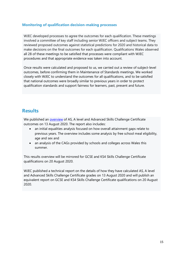### **Monitoring of qualification decision-making processes**

WJEC developed processes to agree the outcomes for each qualification. These meetings involved a committee of key staff including senior WJEC officers and subject teams. They reviewed proposed outcomes against statistical predictions for 2020 and historical data to make decisions on the final outcomes for each qualification. Qualifications Wales observed all 28 of these meetings to be satisfied that processes were compliant with WJEC procedures and that appropriate evidence was taken into account.

Once results were calculated and proposed to us, we carried out a review of subject-level outcomes, before confirming them in Maintenance of Standards meetings. We worked closely with WJEC to understand the outcomes for all qualifications, and to be satisfied that national outcomes were broadly similar to previous years in order to protect qualification standards and support fairness for learners, past, present and future.

## **Results**

We published an **overview** of AS, A level and Advanced Skills Challenge Certificate outcomes on 13 August 2020. The report also includes:

- an initial equalities analysis focused on how overall attainment gaps relate to previous years. The overview includes some analysis by free school meal eligibility, age and sex and
- an analysis of the CAGs provided by schools and colleges across Wales this summer.

This results overview will be mirrored for GCSE and KS4 Skills Challenge Certificate qualifications on 20 August 2020.

WJEC published a technical report on the details of how they have calculated AS, A level and Advanced Skills Challenge Certificate grades on 13 August 2020 and will publish an equivalent report on GCSE and KS4 Skills Challenge Certificate qualifications on 20 August 2020.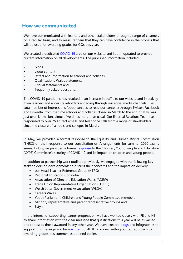## **How we communicated**

We have communicated with learners and other stakeholders through a range of channels on a regular basis, and to reassure them that they can have confidence in the process that will be used for awarding grades for GQs this year.

We created a dedicated [COVID-19](https://www.qualificationswales.org/english/coronavirus---covid-19/qualifications-wales-statements/essential-skills-wales-contingency-arrangements---20-april-2020/) area on our website and kept it updated to provide current information on all developments. The published information included:

- blogs
- video content
- letters and information to schools and colleges
- Qualifications Wales statements
- Ofqual statements and
- frequently asked questions.

The COVID-19 pandemic has resulted in an increase in traffic to our website and in activity from learners and wider stakeholders engaging through our social media channels. The total number of impressions (opportunities to read our content) through Twitter, Facebook and LinkedIn, from the time schools and colleges closed in March to the end of May, was just over 1.1 million, almost five times more than usual. Our External Relations Team has responded to over 250 direct emails and telephone calls from a range of stakeholders since the closure of schools and colleges in March.

In May, we provided a formal response to the Equality and Human Rights Commission (EHRC) on their response to our consultation on Arrangements for summer 2020 exams series. In July, we provided a formal [response](https://www.qualificationswales.org/media/6292/response-to-cype-committee-s-scrutiny-of-covid-19-and-its-impact-on-children-and-young-people.pdf) to the Children, Young People and Education (CYPE) Committee's scrutiny of COVID-19 and its impact on children and young people.

In addition to partnership work outlined previously, we engaged with the following key stakeholders on developments to discuss their concerns and the impact on delivery:

- our Head Teacher Reference Group (HTRG)
- Regional Education Consortia
- Association of Directors Education Wales (ADEW)
- Trade Union Representative Organisations (TURO)
- Welsh Local Government Association (WLGA)
- Careers Wales
- Youth Parliament; Children and Young People Committee members
- Minority representative and parent representative groups and
- Estyn.

In the interest of supporting learner progression, we have worked closely with FE and HE to share information with the clear message that qualifications this year will be as valued and robust as those awarded in any other year. We have created [blogs](https://www.qualificationswales.org/english/coronavirus---covid-19/blogs/necessity-is-the-mother-of-invention-supporting-university-offer-holders-for-2020-entry-and-potential-applicants-for-2021-and-beyond/) and infographics to support this message and have [written](https://www.qualificationswales.org/media/6389/letter-to-he-admissions-782020.pdf) to all HE providers setting out our approach to awarding grades this summer, as outlined earlier.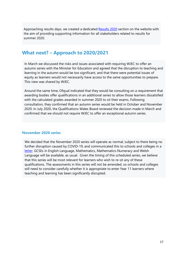Approaching results days, we created a dedicated [Results 2020](https://www.qualificationswales.org/english/results-2020/) section on the website with the aim of providing supporting information for all stakeholders related to results for summer 2020.

## **What next? – Approach to 2020/2021**

In March we discussed the risks and issues associated with requiring WJEC to offer an autumn series with the Minister for Education and agreed that the disruption to teaching and learning in the autumn would be too significant, and that there were potential issues of equity as learners would not necessarily have access to the same opportunities to prepare. This view was shared by WJEC.

Around the same time, Ofqual indicated that they would be consulting on a requirement that awarding bodies offer qualifications in an additional series to allow those learners dissatisfied with the calculated grades awarded in summer 2020 to sit their exams. Following consultation, they confirmed that an autumn series would be held in October and November 2020. In July 2020, the Qualifications Wales Board reviewed the decision made in March and confirmed that we should not require WJEC to offer an exceptional autumn series.

#### **November 2020 series**

We decided that the November 2020 series will operate as normal, subject to there being no further disruption caused by COVID-19, and communicated this to schools and colleges in a [letter.](https://www.qualificationswales.org/media/6244/3-july-2020-letter-to-schools-colleges-nov-series-s21-eng.pdf) GCSEs in English Language, Mathematics, Mathematics-Numeracy and Welsh Language will be available, as usual. Given the timing of this scheduled series, we believe that this series will be most relevant for learners who wish to re-sit any of these qualifications. The assessments in this series will not be amended, so schools and colleges will need to consider carefully whether it is appropriate to enter Year 11 learners where teaching and learning has been significantly disrupted.